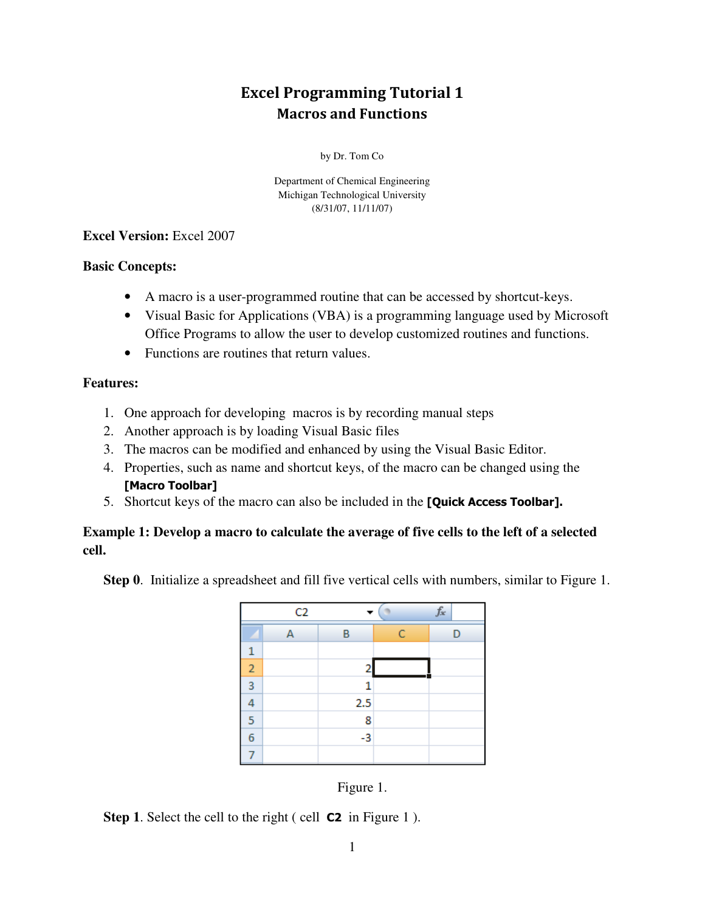# Excel Programming Tutorial 1 Macros and Functions

by Dr. Tom Co

Department of Chemical Engineering Michigan Technological University (8/31/07, 11/11/07)

**Excel Version:** Excel 2007

#### **Basic Concepts:**

- A macro is a user-programmed routine that can be accessed by shortcut-keys.
- Visual Basic for Applications (VBA) is a programming language used by Microsoft Office Programs to allow the user to develop customized routines and functions.
- Functions are routines that return values.

#### **Features:**

- 1. One approach for developing macros is by recording manual steps
- 2. Another approach is by loading Visual Basic files
- 3. The macros can be modified and enhanced by using the Visual Basic Editor.
- 4. Properties, such as name and shortcut keys, of the macro can be changed using the [Macro Toolbar]
- 5. Shortcut keys of the macro can also be included in the **[Quick Access Toolbar].**

### **Example 1: Develop a macro to calculate the average of five cells to the left of a selected cell.**

**Step 0**. Initialize a spreadsheet and fill five vertical cells with numbers, similar to Figure 1.





**Step 1.** Select the cell to the right ( cell **C2** in Figure 1).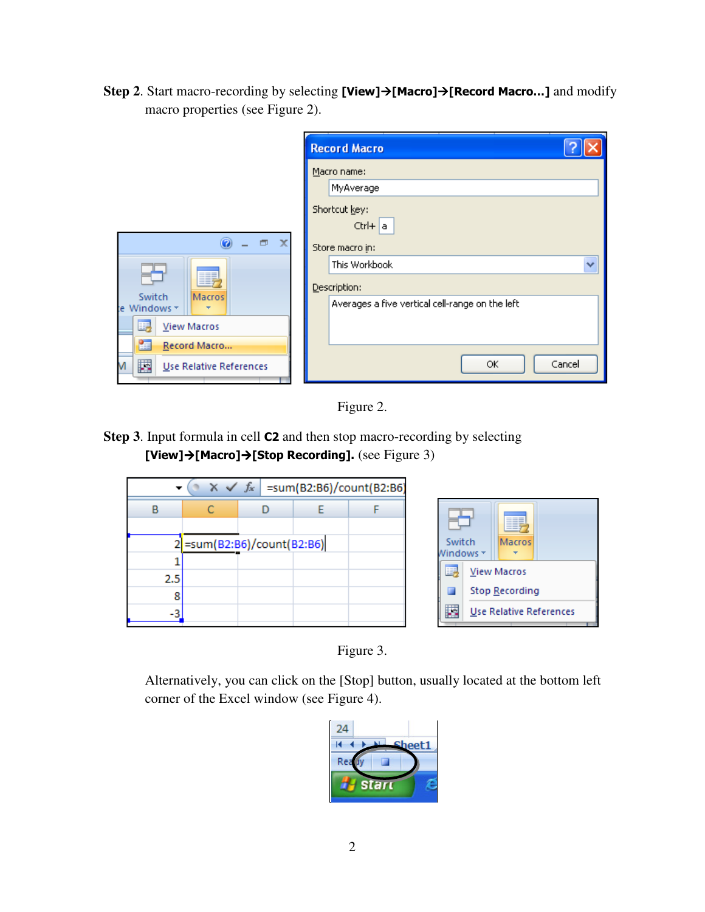Step 2. Start macro-recording by selecting [View] $\rightarrow$ [Macro] $\rightarrow$ [Record Macro...] and modify macro properties (see Figure 2).

|                                                                                            | <b>Record Macro</b>                                                                                                                                                 |
|--------------------------------------------------------------------------------------------|---------------------------------------------------------------------------------------------------------------------------------------------------------------------|
| $\Box$<br>0<br>Switch<br>Macros                                                            | Macro name:<br>MyAverage<br>Shortcut key:<br>$Ctrl + a$<br>Store macro in:<br>v<br>This Workbook<br>Description:<br>Averages a five vertical cell-range on the left |
| te Windows +<br>View Macros<br>要<br>雷<br>Record Macro<br>飋<br>M<br>Use Relative References | ОК<br>Cancel                                                                                                                                                        |



**Step 3**. Input formula in cell C2 and then stop macro-recording by selecting [View] $\rightarrow$ [Macro] $\rightarrow$ [Stop Recording]. (see Figure 3)





Alternatively, you can click on the [Stop] button, usually located at the bottom left corner of the Excel window (see Figure 4).

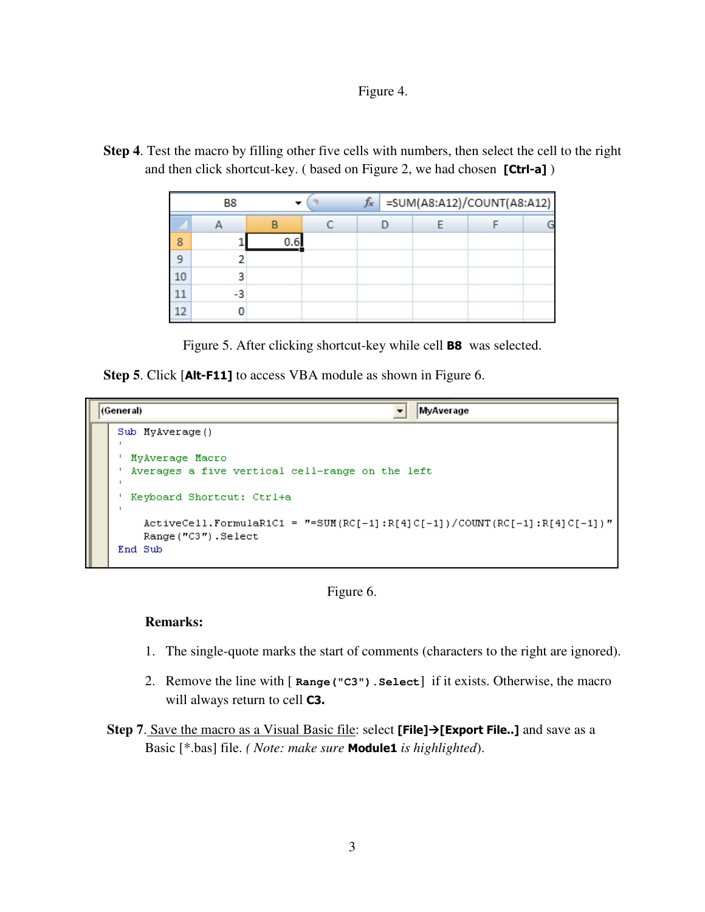Figure 4.

**Step 4**. Test the macro by filling other five cells with numbers, then select the cell to the right and then click shortcut-key. (based on Figure 2, we had chosen [Ctrl-a])

|    | B8 |  | fx | =SUM(A8:A12)/COUNT(A8:A12) |  |
|----|----|--|----|----------------------------|--|
|    |    |  |    |                            |  |
| 8  |    |  |    |                            |  |
| 9  |    |  |    |                            |  |
| 10 | ٦  |  |    |                            |  |
| 11 |    |  |    |                            |  |
|    |    |  |    |                            |  |

Figure 5. After clicking shortcut-key while cell **B8** was selected.

**Step 5.** Click [Alt-F11] to access VBA module as shown in Figure 6.

```
(General)
                                                                  MyAverage
                                                              \overline{\phantom{a}}Sub MyAverage()
   ' MyAverage Macro
      Averages a five vertical cell-range on the left
      Keyboard Shortcut: Ctrl+a
         \texttt{ActiveCell.FormulaR1C1} = \texttt{""=SUM}(\texttt{RC[-1]:R[4]C[-1]}) / \texttt{COUNT}(\texttt{RC[-1]:R[4]C[-1]})Range ("C3") . Select
   End Sub
```


#### **Remarks:**

- 1. The single-quote marks the start of comments (characters to the right are ignored).
- 2. Remove the line with [ **Range("C3").Select**] if it exists. Otherwise, the macro will always return to cell **C3.**
- **Step 7.** Save the macro as a Visual Basic file: select **[File] > [Export File..]** and save as a Basic [\*.bas] file. *( Note: make sure* Module1 *is highlighted*).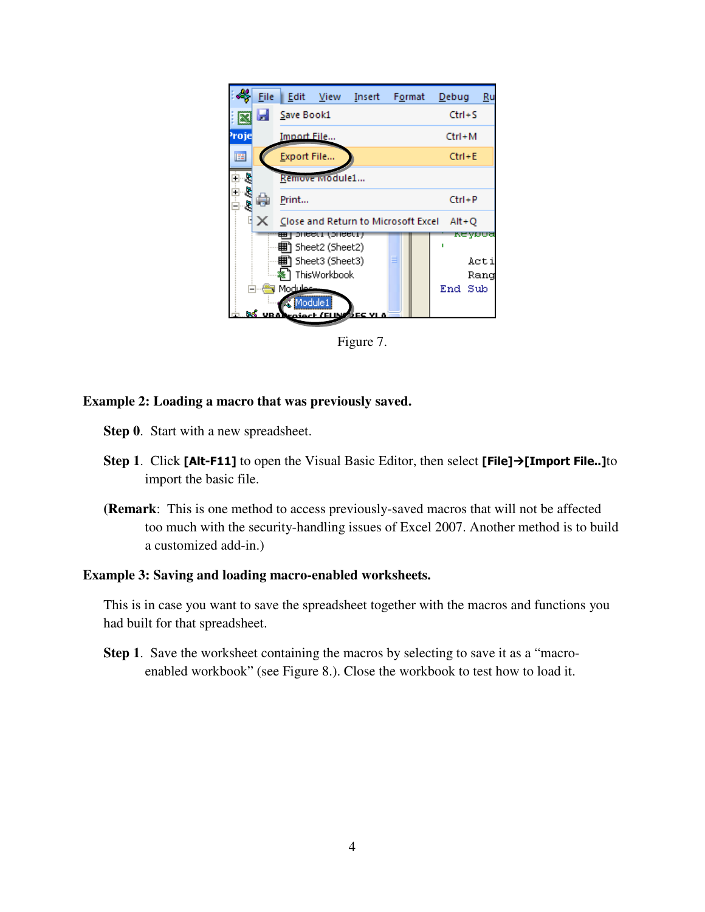

Figure 7.

#### **Example 2: Loading a macro that was previously saved.**

**Step 0**. Start with a new spreadsheet.

- **Step 1.** Click [Alt-F11] to open the Visual Basic Editor, then select [File] $\rightarrow$ [Import File..]to import the basic file.
- **(Remark**: This is one method to access previously-saved macros that will not be affected too much with the security-handling issues of Excel 2007. Another method is to build a customized add-in.)

#### **Example 3: Saving and loading macro-enabled worksheets.**

This is in case you want to save the spreadsheet together with the macros and functions you had built for that spreadsheet.

**Step 1**. Save the worksheet containing the macros by selecting to save it as a "macroenabled workbook" (see Figure 8.). Close the workbook to test how to load it.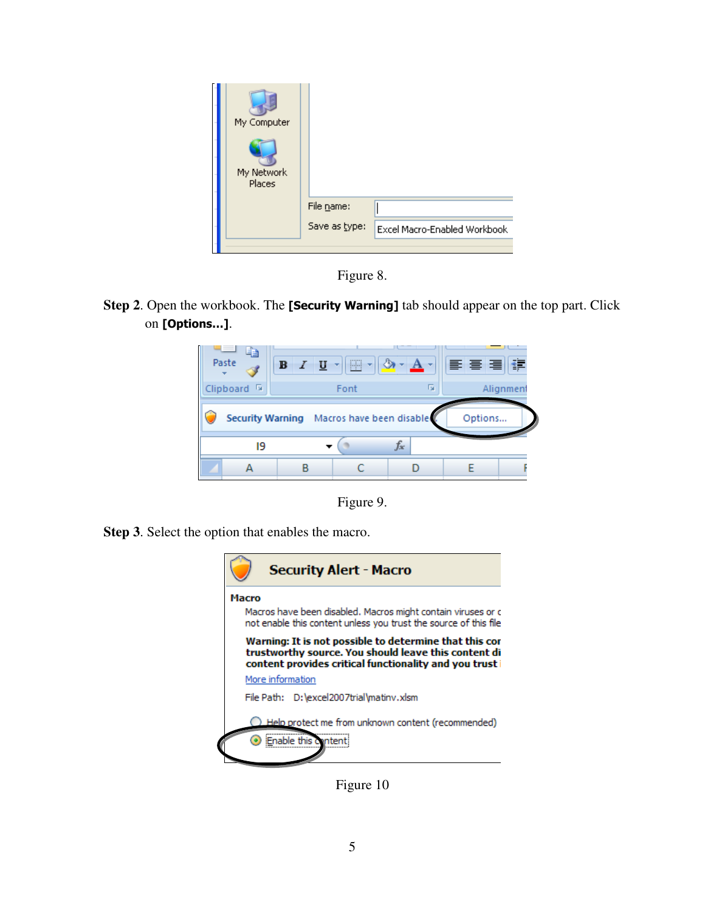| My Computer<br>My Network<br>Places |               |                              |
|-------------------------------------|---------------|------------------------------|
|                                     | File name:    |                              |
|                                     | Save as type: | Excel Macro-Enabled Workbook |
|                                     |               |                              |

Figure 8.

**Step 2.** Open the workbook. The **[Security Warning]** tab should appear on the top part. Click on [Options…].



Figure 9.

**Step 3**. Select the option that enables the macro.



Figure 10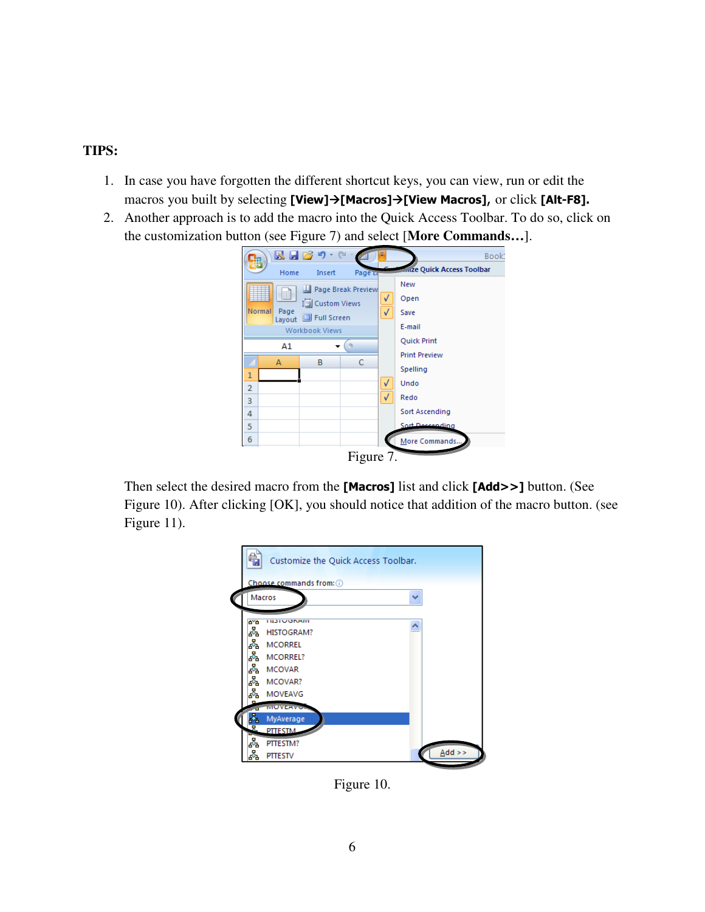#### **TIPS:**

- 1. In case you have forgotten the different shortcut keys, you can view, run or edit the macros you built by selecting [View] $\rightarrow$ [Macros] $\rightarrow$ [View Macros], or click [Alt-F8].
- 2. Another approach is to add the macro into the Quick Access Toolbar. To do so, click on the customization button (see Figure 7) and select [**More Commands…**].



Then select the desired macro from the [Macros] list and click [Add>>] button. (See Figure 10). After clicking [OK], you should notice that addition of the macro button. (see Figure 11).



Figure 10.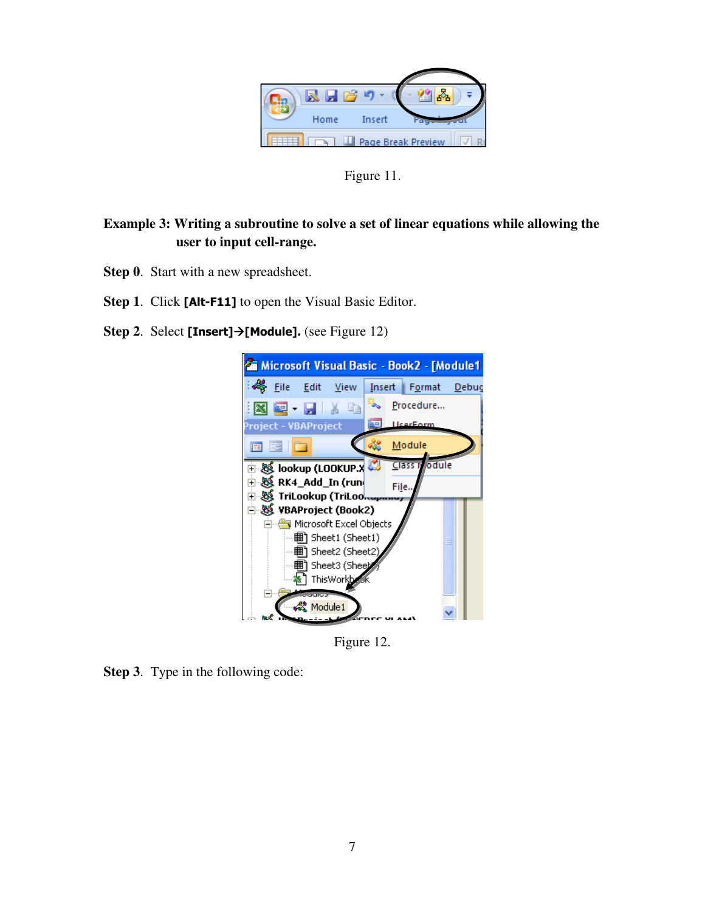

Figure 11.

## **Example 3: Writing a subroutine to solve a set of linear equations while allowing the user to input cell-range.**

- **Step 0**. Start with a new spreadsheet.
- **Step 1.** Click [Alt-F11] to open the Visual Basic Editor.
- **Step 2.** Select [Insert] $\rightarrow$ [Module]. (see Figure 12)



Figure 12.

**Step 3**. Type in the following code: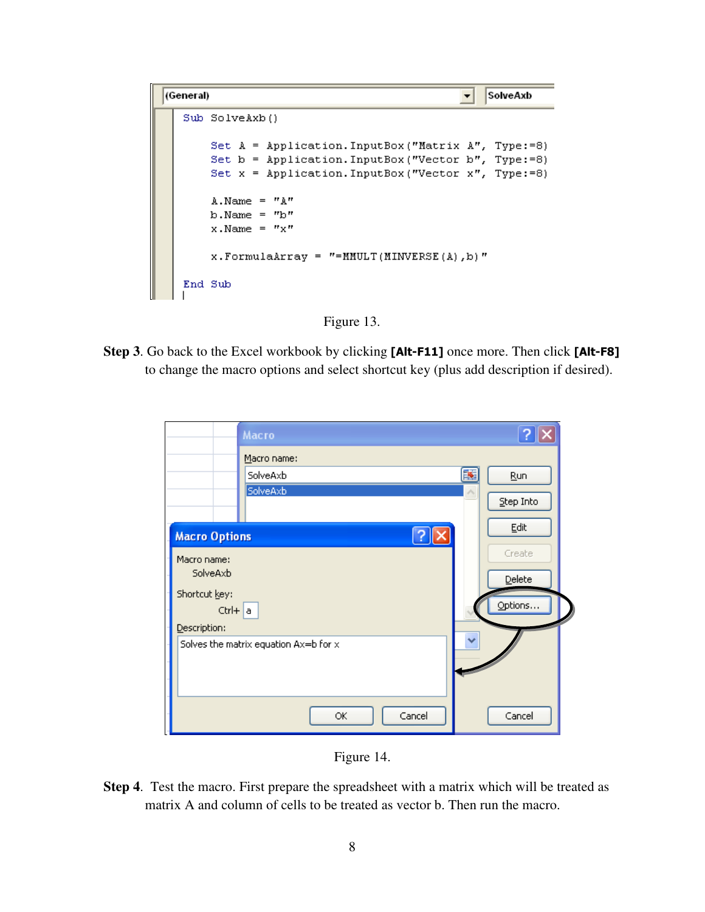



**Step 3**. Go back to the Excel workbook by clicking [Alt-F11] once more. Then click [Alt-F8] to change the macro options and select shortcut key (plus add description if desired).

|                               | Macro                                 |                    |                         |
|-------------------------------|---------------------------------------|--------------------|-------------------------|
|                               | Macro name:<br>SolveAxb               | 匪                  | Run                     |
|                               | SolveAxb                              | $\curvearrowright$ | Step Into               |
| <b>Macro Options</b>          |                                       |                    | Edit                    |
| Macro name:<br>SolveAxb       |                                       |                    | Create<br><b>Delete</b> |
| Shortcut key:<br>Description: | $Ctrl + a$                            |                    | Options                 |
|                               | Solves the matrix equation Ax=b for x |                    |                         |
|                               | Cancel<br>ОК                          |                    | Cancel                  |

Figure 14.

**Step 4**. Test the macro. First prepare the spreadsheet with a matrix which will be treated as matrix A and column of cells to be treated as vector b. Then run the macro.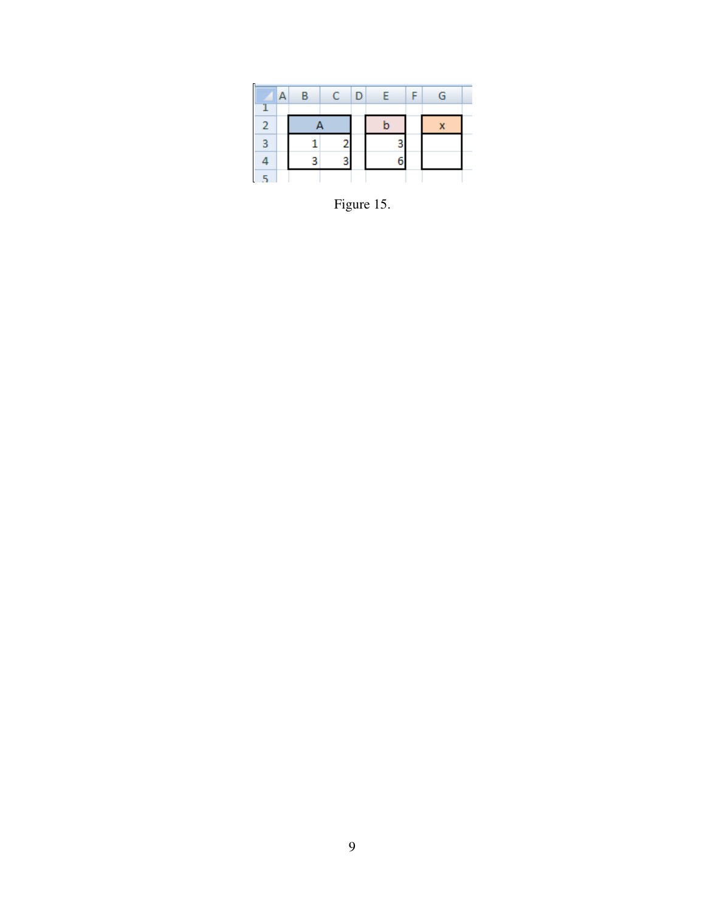|   | B | $\mathsf{C}$ | ID. | F. | G |  |
|---|---|--------------|-----|----|---|--|
| ٦ |   |              |     |    |   |  |
| 2 |   |              |     |    |   |  |
|   |   |              |     |    |   |  |
|   |   |              |     |    |   |  |
|   |   |              |     |    |   |  |

Figure 15.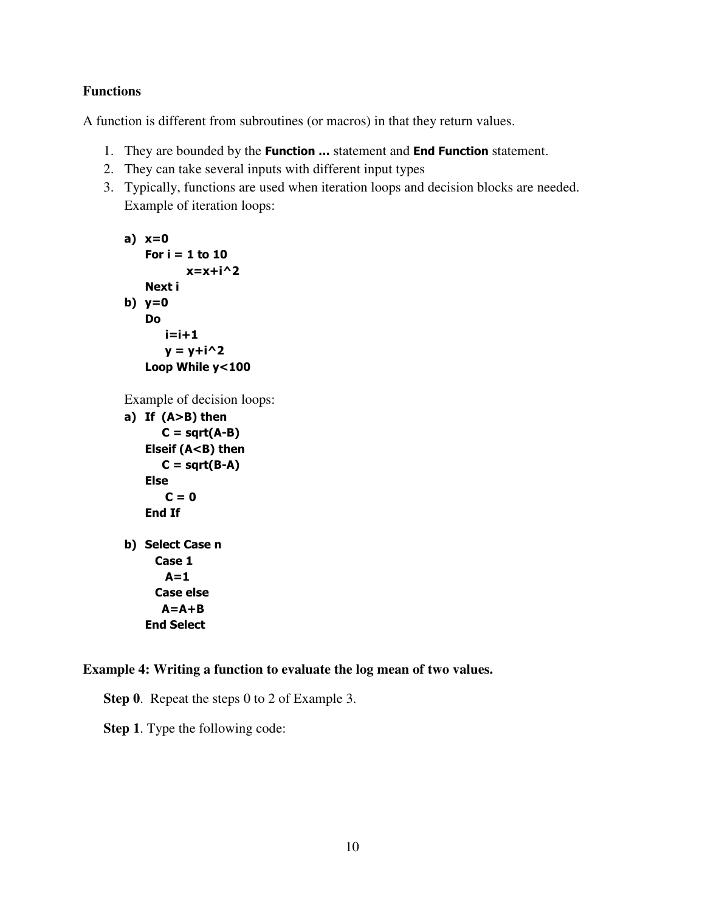### **Functions**

A function is different from subroutines (or macros) in that they return values.

- 1. They are bounded by the **Function ...** statement and **End Function** statement.
- 2. They can take several inputs with different input types
- 3. Typically, functions are used when iteration loops and decision blocks are needed. Example of iteration loops:

```
a) x=0 
   For i = 1 to 10
          x=x+i^2Next i 
b) y=0 
   Do 
      i=i+1y = y + i^2Loop While y<100
```
Example of decision loops:

```
a) If (A>B) then 
      C = sqrt(A-B)Elseif (A<B) then
      C = sqrt(B-A)Else 
       C = 0End If 
b) Select Case n 
      Case 1 
       A=1 Case else 
      A = A + BEnd Select
```
**Example 4: Writing a function to evaluate the log mean of two values.** 

**Step 0**. Repeat the steps 0 to 2 of Example 3.

**Step 1**. Type the following code: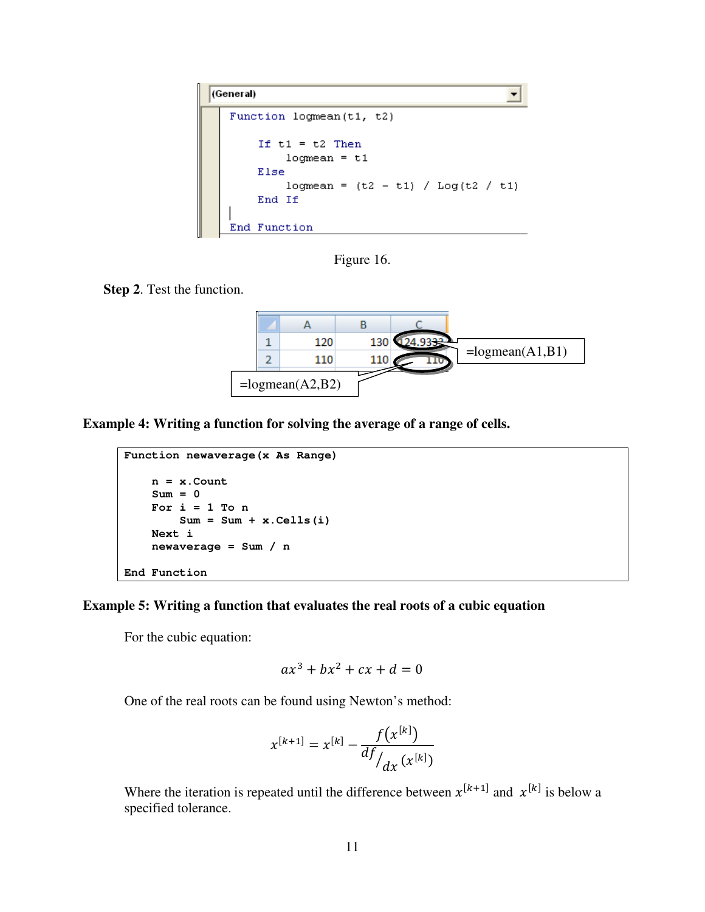```
(General)
                                            ▾
  Function logmean(t1, t2)
       If t1 = t2 Then
           logmean = t1Else
           logmean = (t2 - t1) / Log(t2 / t1)End If
  End Function
```
Figure 16.

**Step 2**. Test the function.



**Example 4: Writing a function for solving the average of a range of cells.** 

```
Function newaverage(x As Range) 
     n = x.Count 
     Sum = 0 
     For i = 1 To n 
          Sum = Sum + x.Cells(i) 
     Next i 
     newaverage = Sum / n 
End Function
```
#### **Example 5: Writing a function that evaluates the real roots of a cubic equation**

For the cubic equation:

$$
ax^3 + bx^2 + cx + d = 0
$$

One of the real roots can be found using Newton's method:

$$
x^{[k+1]} = x^{[k]} - \frac{f(x^{[k]})}{df / dx^{(x^{[k]})}}
$$

Where the iteration is repeated until the difference between  $x^{[k+1]}$  and  $x^{[k]}$  is below a specified tolerance.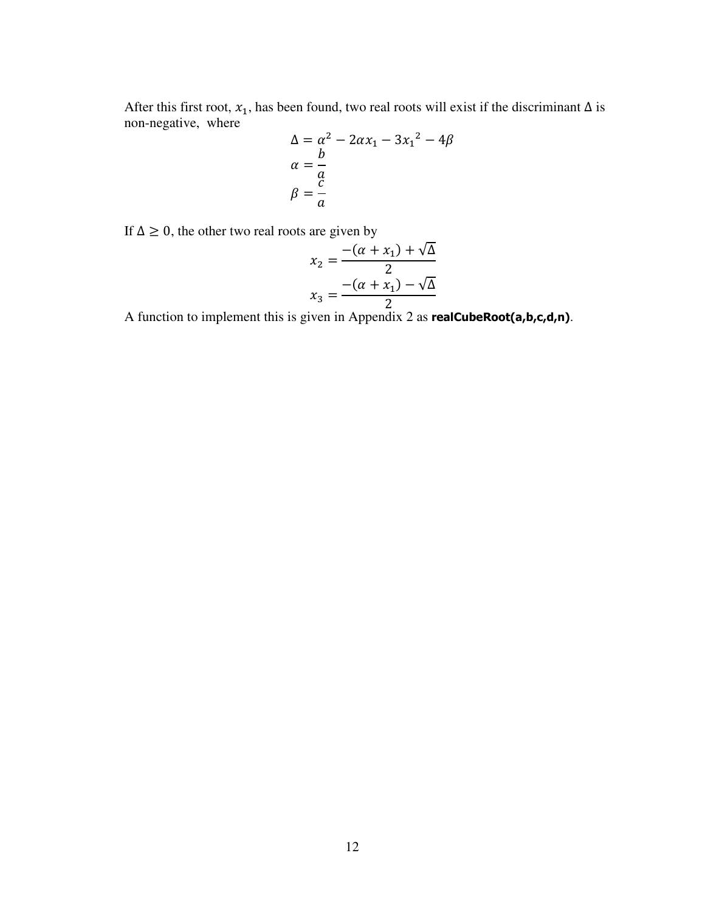After this first root,  $x_1$ , has been found, two real roots will exist if the discriminant  $\Delta$  is non-negative, where

$$
\Delta = \alpha^2 - 2\alpha x_1 - 3x_1^2 - 4\beta
$$
  
\n
$$
\alpha = \frac{b}{a}
$$
  
\n
$$
\beta = \frac{c}{a}
$$

If  $\Delta \geq 0$ , the other two real roots are given by

$$
x_2 = \frac{-(\alpha + x_1) + \sqrt{\Delta}}{2}
$$

$$
x_3 = \frac{-(\alpha + x_1) - \sqrt{\Delta}}{2}
$$

A function to implement this is given in Appendix 2 as **realCubeRoot(a,b,c,d,n)**.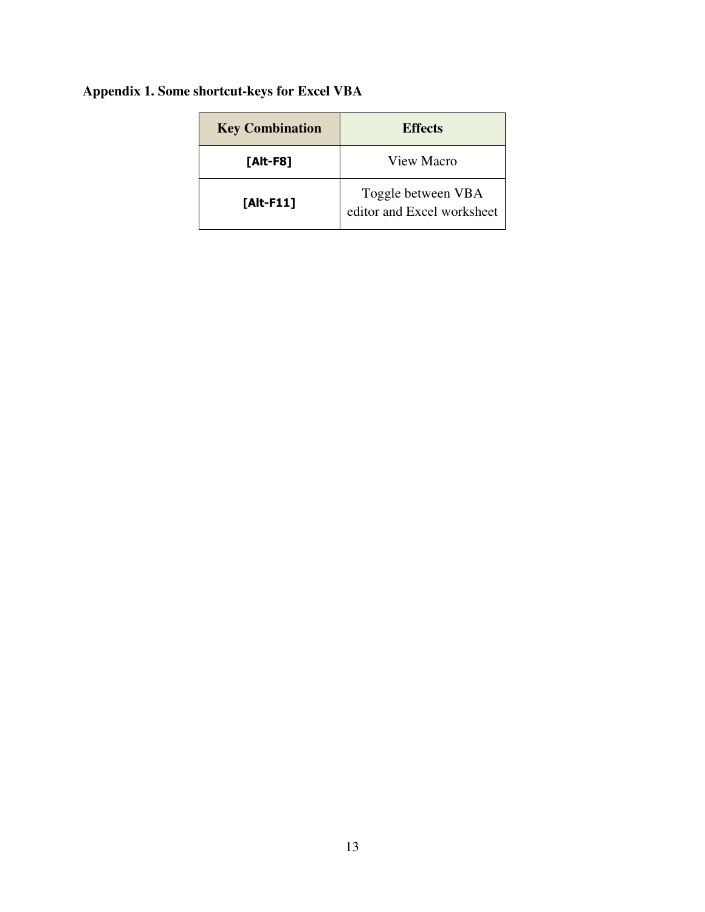## **Appendix 1. Some shortcut-keys for Excel VBA**

| <b>Key Combination</b> | <b>Effects</b>                                   |  |  |
|------------------------|--------------------------------------------------|--|--|
| [Alt-F8]               | View Macro                                       |  |  |
| $[Alt-F11]$            | Toggle between VBA<br>editor and Excel worksheet |  |  |